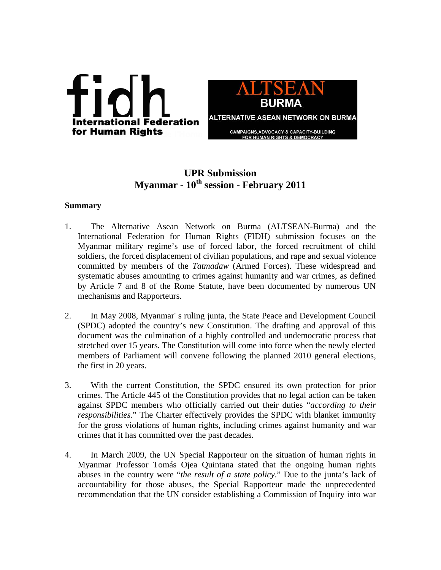

# **UPR Submission Myanmar - 10th session - February 2011**

## **Summary**

- 1. The Alternative Asean Network on Burma (ALTSEAN-Burma) and the International Federation for Human Rights (FIDH) submission focuses on the Myanmar military regime's use of forced labor, the forced recruitment of child soldiers, the forced displacement of civilian populations, and rape and sexual violence committed by members of the *Tatmadaw* (Armed Forces). These widespread and systematic abuses amounting to crimes against humanity and war crimes, as defined by Article 7 and 8 of the Rome Statute, have been documented by numerous UN mechanisms and Rapporteurs.
- 2. In May 2008, Myanmar' s ruling junta, the State Peace and Development Council (SPDC) adopted the country's new Constitution. The drafting and approval of this document was the culmination of a highly controlled and undemocratic process that stretched over 15 years. The Constitution will come into force when the newly elected members of Parliament will convene following the planned 2010 general elections, the first in 20 years.
- 3. With the current Constitution, the SPDC ensured its own protection for prior crimes. The Article 445 of the Constitution provides that no legal action can be taken against SPDC members who officially carried out their duties "*according to their responsibilities*." The Charter effectively provides the SPDC with blanket immunity for the gross violations of human rights, including crimes against humanity and war crimes that it has committed over the past decades.
- 4. In March 2009, the UN Special Rapporteur on the situation of human rights in Myanmar Professor Tomás Ojea Quintana stated that the ongoing human rights abuses in the country were "*the result of a state policy*." Due to the junta's lack of accountability for those abuses, the Special Rapporteur made the unprecedented recommendation that the UN consider establishing a Commission of Inquiry into war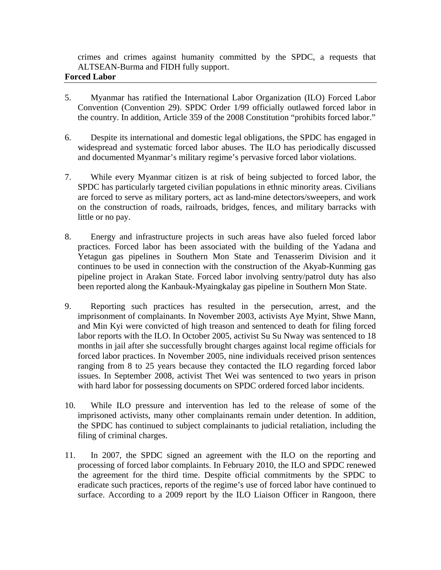crimes and crimes against humanity committed by the SPDC, a requests that ALTSEAN-Burma and FIDH fully support.

#### **Forced Labor**

- 5. Myanmar has ratified the International Labor Organization (ILO) Forced Labor Convention (Convention 29). SPDC Order 1/99 officially outlawed forced labor in the country. In addition, Article 359 of the 2008 Constitution "prohibits forced labor."
- 6. Despite its international and domestic legal obligations, the SPDC has engaged in widespread and systematic forced labor abuses. The ILO has periodically discussed and documented Myanmar's military regime's pervasive forced labor violations.
- 7. While every Myanmar citizen is at risk of being subjected to forced labor, the SPDC has particularly targeted civilian populations in ethnic minority areas. Civilians are forced to serve as military porters, act as land-mine detectors/sweepers, and work on the construction of roads, railroads, bridges, fences, and military barracks with little or no pay.
- 8. Energy and infrastructure projects in such areas have also fueled forced labor practices. Forced labor has been associated with the building of the Yadana and Yetagun gas pipelines in Southern Mon State and Tenasserim Division and it continues to be used in connection with the construction of the Akyab-Kunming gas pipeline project in Arakan State. Forced labor involving sentry/patrol duty has also been reported along the Kanbauk-Myaingkalay gas pipeline in Southern Mon State.
- 9. Reporting such practices has resulted in the persecution, arrest, and the imprisonment of complainants. In November 2003, activists Aye Myint, Shwe Mann, and Min Kyi were convicted of high treason and sentenced to death for filing forced labor reports with the ILO. In October 2005, activist Su Su Nway was sentenced to 18 months in jail after she successfully brought charges against local regime officials for forced labor practices. In November 2005, nine individuals received prison sentences ranging from 8 to 25 years because they contacted the ILO regarding forced labor issues. In September 2008, activist Thet Wei was sentenced to two years in prison with hard labor for possessing documents on SPDC ordered forced labor incidents.
- 10. While ILO pressure and intervention has led to the release of some of the imprisoned activists, many other complainants remain under detention. In addition, the SPDC has continued to subject complainants to judicial retaliation, including the filing of criminal charges.
- 11. In 2007, the SPDC signed an agreement with the ILO on the reporting and processing of forced labor complaints. In February 2010, the ILO and SPDC renewed the agreement for the third time. Despite official commitments by the SPDC to eradicate such practices, reports of the regime's use of forced labor have continued to surface. According to a 2009 report by the ILO Liaison Officer in Rangoon, there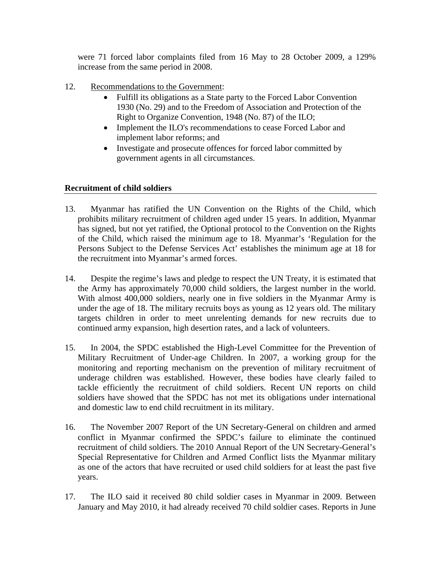were 71 forced labor complaints filed from 16 May to 28 October 2009, a 129% increase from the same period in 2008.

- 12. Recommendations to the Government:
	- Fulfill its obligations as a State party to the Forced Labor Convention 1930 (No. 29) and to the Freedom of Association and Protection of the Right to Organize Convention, 1948 (No. 87) of the ILO;
	- Implement the ILO's recommendations to cease Forced Labor and implement labor reforms; and
	- Investigate and prosecute offences for forced labor committed by government agents in all circumstances.

## **Recruitment of child soldiers**

- 13. Myanmar has ratified the UN Convention on the Rights of the Child, which prohibits military recruitment of children aged under 15 years. In addition, Myanmar has signed, but not yet ratified, the Optional protocol to the Convention on the Rights of the Child, which raised the minimum age to 18. Myanmar's 'Regulation for the Persons Subject to the Defense Services Act' establishes the minimum age at 18 for the recruitment into Myanmar's armed forces.
- 14. Despite the regime's laws and pledge to respect the UN Treaty, it is estimated that the Army has approximately 70,000 child soldiers, the largest number in the world. With almost 400,000 soldiers, nearly one in five soldiers in the Myanmar Army is under the age of 18. The military recruits boys as young as 12 years old. The military targets children in order to meet unrelenting demands for new recruits due to continued army expansion, high desertion rates, and a lack of volunteers.
- 15. In 2004, the SPDC established the High-Level Committee for the Prevention of Military Recruitment of Under-age Children. In 2007, a working group for the monitoring and reporting mechanism on the prevention of military recruitment of underage children was established. However, these bodies have clearly failed to tackle efficiently the recruitment of child soldiers. Recent UN reports on child soldiers have showed that the SPDC has not met its obligations under international and domestic law to end child recruitment in its military.
- 16. The November 2007 Report of the UN Secretary-General on children and armed conflict in Myanmar confirmed the SPDC's failure to eliminate the continued recruitment of child soldiers. The 2010 Annual Report of the UN Secretary-General's Special Representative for Children and Armed Conflict lists the Myanmar military as one of the actors that have recruited or used child soldiers for at least the past five years.
- 17. The ILO said it received 80 child soldier cases in Myanmar in 2009. Between January and May 2010, it had already received 70 child soldier cases. Reports in June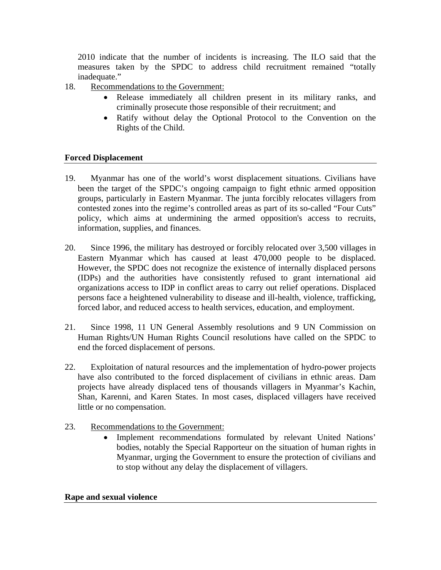2010 indicate that the number of incidents is increasing. The ILO said that the measures taken by the SPDC to address child recruitment remained "totally inadequate."

- 18. Recommendations to the Government:
	- Release immediately all children present in its military ranks, and criminally prosecute those responsible of their recruitment; and
	- Ratify without delay the Optional Protocol to the Convention on the Rights of the Child.

## **Forced Displacement**

- 19. Myanmar has one of the world's worst displacement situations. Civilians have been the target of the SPDC's ongoing campaign to fight ethnic armed opposition groups, particularly in Eastern Myanmar. The junta forcibly relocates villagers from contested zones into the regime's controlled areas as part of its so-called "Four Cuts" policy, which aims at undermining the armed opposition's access to recruits, information, supplies, and finances.
- 20. Since 1996, the military has destroyed or forcibly relocated over 3,500 villages in Eastern Myanmar which has caused at least 470,000 people to be displaced. However, the SPDC does not recognize the existence of internally displaced persons (IDPs) and the authorities have consistently refused to grant international aid organizations access to IDP in conflict areas to carry out relief operations. Displaced persons face a heightened vulnerability to disease and ill-health, violence, trafficking, forced labor, and reduced access to health services, education, and employment.
- 21. Since 1998, 11 UN General Assembly resolutions and 9 UN Commission on Human Rights/UN Human Rights Council resolutions have called on the SPDC to end the forced displacement of persons.
- 22. Exploitation of natural resources and the implementation of hydro-power projects have also contributed to the forced displacement of civilians in ethnic areas. Dam projects have already displaced tens of thousands villagers in Myanmar's Kachin, Shan, Karenni, and Karen States. In most cases, displaced villagers have received little or no compensation.
- 23. Recommendations to the Government:
	- Implement recommendations formulated by relevant United Nations' bodies, notably the Special Rapporteur on the situation of human rights in Myanmar, urging the Government to ensure the protection of civilians and to stop without any delay the displacement of villagers.

## **Rape and sexual violence**